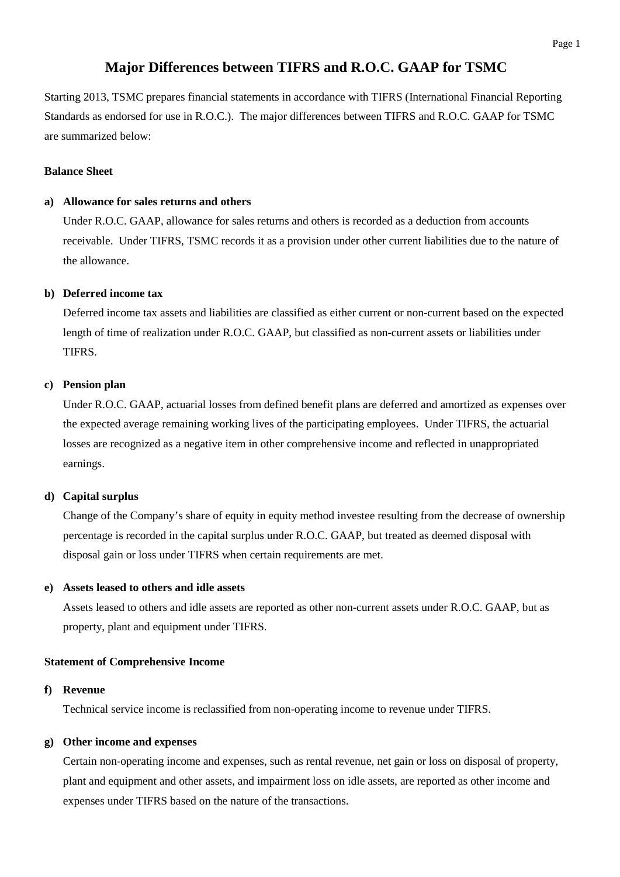# **Major Differences between TIFRS and R.O.C. GAAP for TSMC**

Starting 2013, TSMC prepares financial statements in accordance with TIFRS (International Financial Reporting Standards as endorsed for use in R.O.C.). The major differences between TIFRS and R.O.C. GAAP for TSMC are summarized below:

# **Balance Sheet**

# **a) Allowance for sales returns and others**

Under R.O.C. GAAP, allowance for sales returns and others is recorded as a deduction from accounts receivable. Under TIFRS, TSMC records it as a provision under other current liabilities due to the nature of the allowance.

# **b) Deferred income tax**

Deferred income tax assets and liabilities are classified as either current or non-current based on the expected length of time of realization under R.O.C. GAAP, but classified as non-current assets or liabilities under TIFRS.

# **c) Pension plan**

Under R.O.C. GAAP, actuarial losses from defined benefit plans are deferred and amortized as expenses over the expected average remaining working lives of the participating employees. Under TIFRS, the actuarial losses are recognized as a negative item in other comprehensive income and reflected in unappropriated earnings.

# **d) Capital surplus**

Change of the Company's share of equity in equity method investee resulting from the decrease of ownership percentage is recorded in the capital surplus under R.O.C. GAAP, but treated as deemed disposal with disposal gain or loss under TIFRS when certain requirements are met.

# **e) Assets leased to others and idle assets**

Assets leased to others and idle assets are reported as other non-current assets under R.O.C. GAAP, but as property, plant and equipment under TIFRS.

# **Statement of Comprehensive Income**

# **f) Revenue**

Technical service income is reclassified from non-operating income to revenue under TIFRS.

# **g) Other income and expenses**

Certain non-operating income and expenses, such as rental revenue, net gain or loss on disposal of property, plant and equipment and other assets, and impairment loss on idle assets, are reported as other income and expenses under TIFRS based on the nature of the transactions.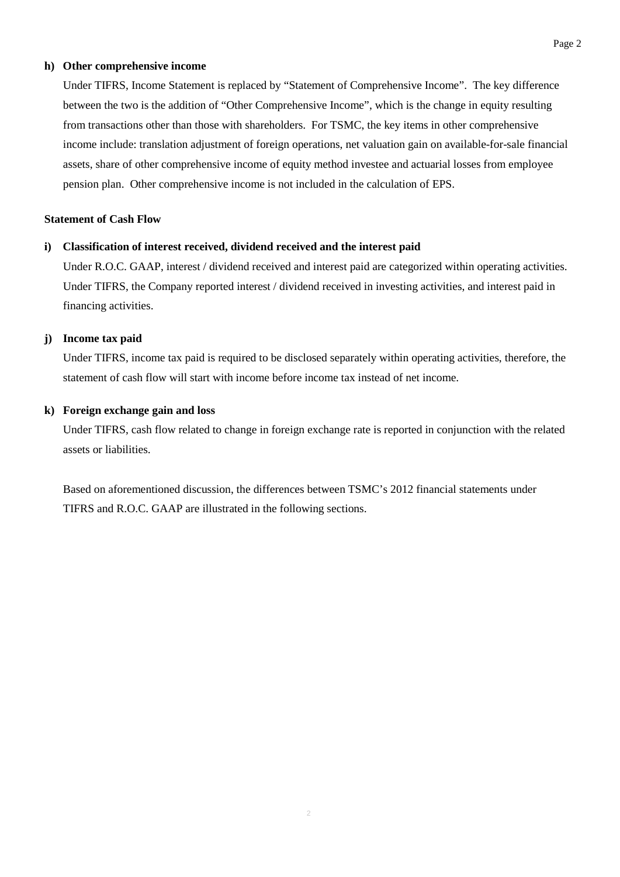#### **h) Other comprehensive income**

Under TIFRS, Income Statement is replaced by "Statement of Comprehensive Income". The key difference between the two is the addition of "Other Comprehensive Income", which is the change in equity resulting from transactions other than those with shareholders. For TSMC, the key items in other comprehensive income include: translation adjustment of foreign operations, net valuation gain on available-for-sale financial assets, share of other comprehensive income of equity method investee and actuarial losses from employee pension plan. Other comprehensive income is not included in the calculation of EPS.

### **Statement of Cash Flow**

# **i) Classification of interest received, dividend received and the interest paid**

Under R.O.C. GAAP, interest / dividend received and interest paid are categorized within operating activities. Under TIFRS, the Company reported interest / dividend received in investing activities, and interest paid in financing activities.

### **j) Income tax paid**

Under TIFRS, income tax paid is required to be disclosed separately within operating activities, therefore, the statement of cash flow will start with income before income tax instead of net income.

### **k) Foreign exchange gain and loss**

Under TIFRS, cash flow related to change in foreign exchange rate is reported in conjunction with the related assets or liabilities.

Based on aforementioned discussion, the differences between TSMC's 2012 financial statements under TIFRS and R.O.C. GAAP are illustrated in the following sections.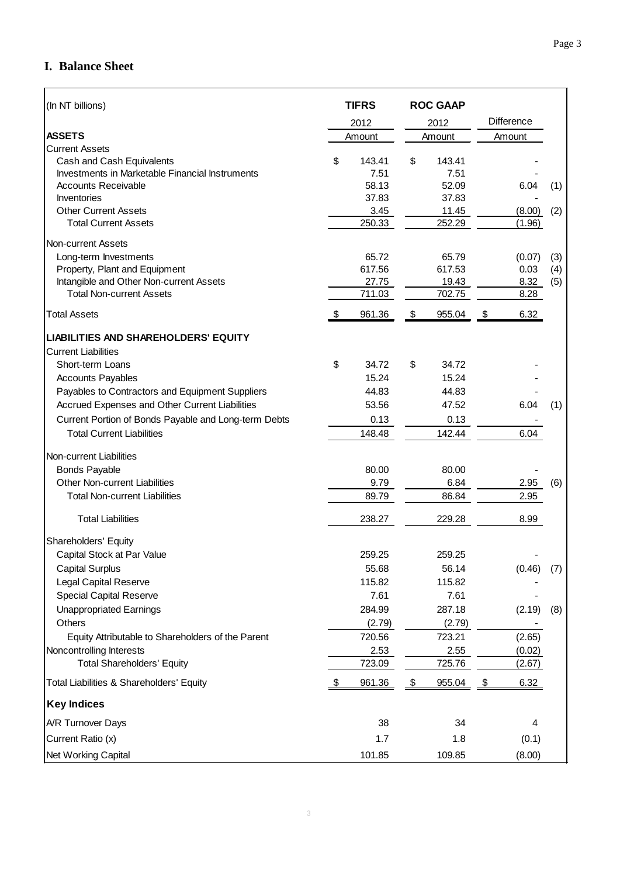# **I. Balance Sheet**

| (In NT billions)                                     | <b>TIFRS</b>  |        | <b>ROC GAAP</b> |        |                   |     |
|------------------------------------------------------|---------------|--------|-----------------|--------|-------------------|-----|
|                                                      | 2012          |        | 2012            |        | <b>Difference</b> |     |
| <b>ASSETS</b>                                        |               | Amount |                 | Amount | Amount            |     |
| <b>Current Assets</b>                                |               |        |                 |        |                   |     |
| Cash and Cash Equivalents                            | \$            | 143.41 | \$              | 143.41 |                   |     |
| Investments in Marketable Financial Instruments      |               | 7.51   |                 | 7.51   |                   |     |
| <b>Accounts Receivable</b>                           |               | 58.13  |                 | 52.09  | 6.04              | (1) |
| Inventories                                          |               | 37.83  |                 | 37.83  |                   |     |
| <b>Other Current Assets</b>                          |               | 3.45   |                 | 11.45  | (8.00)            | (2) |
| <b>Total Current Assets</b>                          |               | 250.33 |                 | 252.29 | (1.96)            |     |
| Non-current Assets                                   |               |        |                 |        |                   |     |
| Long-term Investments                                |               | 65.72  |                 | 65.79  | (0.07)            | (3) |
| Property, Plant and Equipment                        |               | 617.56 |                 | 617.53 | 0.03              | (4) |
| Intangible and Other Non-current Assets              |               | 27.75  |                 | 19.43  | 8.32              | (5) |
| <b>Total Non-current Assets</b>                      |               | 711.03 |                 | 702.75 | 8.28              |     |
| <b>Total Assets</b>                                  | $\frac{1}{2}$ | 961.36 | \$              | 955.04 | 6.32<br>\$        |     |
| LIABILITIES AND SHAREHOLDERS' EQUITY                 |               |        |                 |        |                   |     |
| <b>Current Liabilities</b>                           |               |        |                 |        |                   |     |
| Short-term Loans                                     | \$            | 34.72  | \$              | 34.72  |                   |     |
| <b>Accounts Payables</b>                             |               | 15.24  |                 | 15.24  |                   |     |
| Payables to Contractors and Equipment Suppliers      |               | 44.83  |                 | 44.83  |                   |     |
| Accrued Expenses and Other Current Liabilities       |               | 53.56  |                 | 47.52  | 6.04              | (1) |
| Current Portion of Bonds Payable and Long-term Debts |               | 0.13   |                 | 0.13   |                   |     |
| <b>Total Current Liabilities</b>                     |               | 148.48 |                 | 142.44 | 6.04              |     |
| Non-current Liabilities                              |               |        |                 |        |                   |     |
| <b>Bonds Payable</b>                                 |               | 80.00  |                 | 80.00  |                   |     |
| Other Non-current Liabilities                        |               | 9.79   |                 | 6.84   | 2.95              | (6) |
| <b>Total Non-current Liabilities</b>                 |               | 89.79  |                 | 86.84  | 2.95              |     |
| <b>Total Liabilities</b>                             |               | 238.27 |                 | 229.28 | 8.99              |     |
| Shareholders' Equity                                 |               |        |                 |        |                   |     |
| Capital Stock at Par Value                           |               | 259.25 |                 | 259.25 |                   |     |
| <b>Capital Surplus</b>                               |               | 55.68  |                 | 56.14  | (0.46)            | (7) |
| <b>Legal Capital Reserve</b>                         |               | 115.82 |                 | 115.82 |                   |     |
| <b>Special Capital Reserve</b>                       |               | 7.61   |                 | 7.61   |                   |     |
| <b>Unappropriated Earnings</b>                       |               | 284.99 |                 | 287.18 | (2.19)            | (8) |
| Others                                               |               | (2.79) |                 | (2.79) |                   |     |
| Equity Attributable to Shareholders of the Parent    |               | 720.56 |                 | 723.21 | (2.65)            |     |
| Noncontrolling Interests                             |               | 2.53   |                 | 2.55   | (0.02)            |     |
| <b>Total Shareholders' Equity</b>                    |               | 723.09 |                 | 725.76 | (2.67)            |     |
| Total Liabilities & Shareholders' Equity             | \$            | 961.36 | \$              | 955.04 | 6.32<br>\$        |     |
| <b>Key Indices</b>                                   |               |        |                 |        |                   |     |
| A/R Turnover Days                                    |               | 38     |                 | 34     | 4                 |     |
| Current Ratio (x)                                    |               | 1.7    |                 | 1.8    | (0.1)             |     |
| Net Working Capital                                  |               | 101.85 |                 | 109.85 | (8.00)            |     |
|                                                      |               |        |                 |        |                   |     |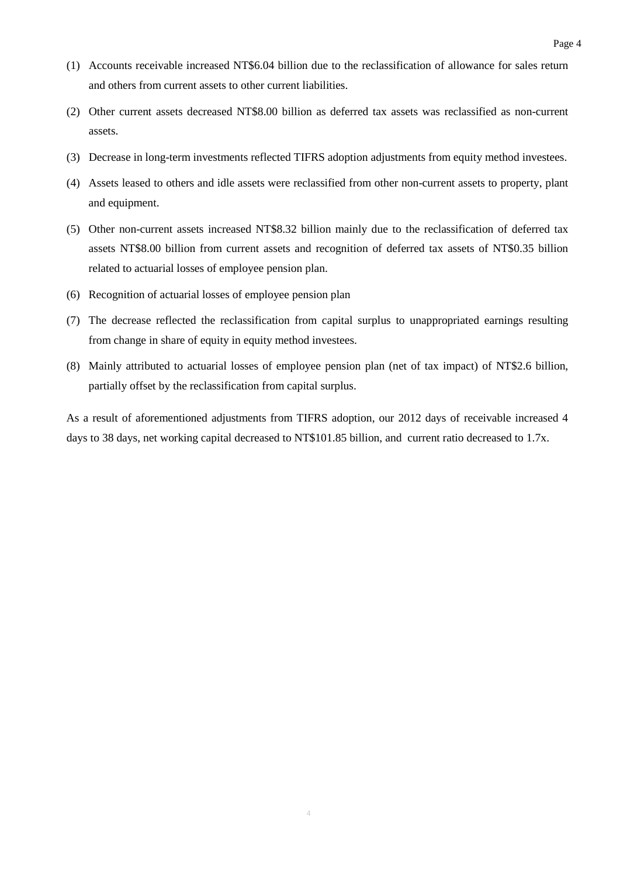- (1) Accounts receivable increased NT\$6.04 billion due to the reclassification of allowance for sales return and others from current assets to other current liabilities.
- (2) Other current assets decreased NT\$8.00 billion as deferred tax assets was reclassified as non-current assets.
- (3) Decrease in long-term investments reflected TIFRS adoption adjustments from equity method investees.
- (4) Assets leased to others and idle assets were reclassified from other non-current assets to property, plant and equipment.
- (5) Other non-current assets increased NT\$8.32 billion mainly due to the reclassification of deferred tax assets NT\$8.00 billion from current assets and recognition of deferred tax assets of NT\$0.35 billion related to actuarial losses of employee pension plan.
- (6) Recognition of actuarial losses of employee pension plan
- (7) The decrease reflected the reclassification from capital surplus to unappropriated earnings resulting from change in share of equity in equity method investees.
- (8) Mainly attributed to actuarial losses of employee pension plan (net of tax impact) of NT\$2.6 billion, partially offset by the reclassification from capital surplus.

As a result of aforementioned adjustments from TIFRS adoption, our 2012 days of receivable increased 4 days to 38 days, net working capital decreased to NT\$101.85 billion, and current ratio decreased to 1.7x.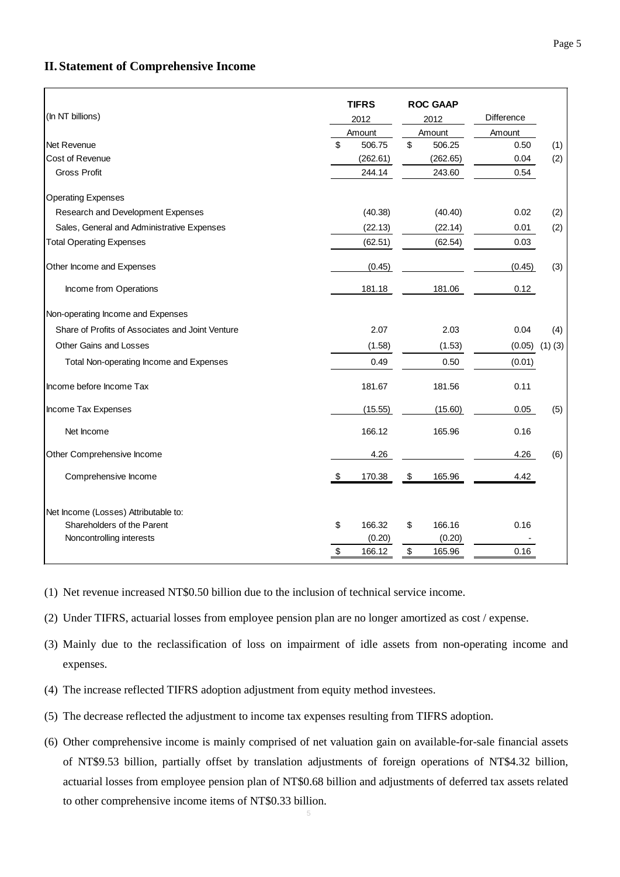# **II. Statement of Comprehensive Income**

|                                                  | <b>TIFRS</b> |          | <b>ROC GAAP</b> |          |                   |             |
|--------------------------------------------------|--------------|----------|-----------------|----------|-------------------|-------------|
| (In NT billions)                                 | 2012         |          | 2012            |          | <b>Difference</b> |             |
|                                                  | Amount       |          | Amount          |          | Amount            |             |
| <b>Net Revenue</b>                               | \$           | 506.75   | \$              | 506.25   | 0.50              | (1)         |
| Cost of Revenue                                  |              | (262.61) |                 | (262.65) | 0.04              | (2)         |
| <b>Gross Profit</b>                              |              | 244.14   |                 | 243.60   | 0.54              |             |
| <b>Operating Expenses</b>                        |              |          |                 |          |                   |             |
| Research and Development Expenses                |              | (40.38)  |                 | (40.40)  | 0.02              | (2)         |
| Sales, General and Administrative Expenses       |              | (22.13)  |                 | (22.14)  | 0.01              | (2)         |
| <b>Total Operating Expenses</b>                  |              | (62.51)  |                 | (62.54)  | 0.03              |             |
| Other Income and Expenses                        |              | (0.45)   |                 |          | (0.45)            | (3)         |
| Income from Operations                           |              | 181.18   |                 | 181.06   | 0.12              |             |
| Non-operating Income and Expenses                |              |          |                 |          |                   |             |
| Share of Profits of Associates and Joint Venture |              | 2.07     |                 | 2.03     | 0.04              | (4)         |
| Other Gains and Losses                           |              | (1.58)   |                 | (1.53)   | (0.05)            | $(1)$ $(3)$ |
| Total Non-operating Income and Expenses          |              | 0.49     |                 | 0.50     | (0.01)            |             |
| Income before Income Tax                         |              | 181.67   |                 | 181.56   | 0.11              |             |
| Income Tax Expenses                              |              | (15.55)  |                 | (15.60)  | 0.05              | (5)         |
| Net Income                                       |              | 166.12   |                 | 165.96   | 0.16              |             |
| Other Comprehensive Income                       |              | 4.26     |                 |          | 4.26              | (6)         |
| Comprehensive Income                             | \$           | 170.38   | \$              | 165.96   | 4.42              |             |
| Net Income (Losses) Attributable to:             |              |          |                 |          |                   |             |
| Shareholders of the Parent                       | \$           | 166.32   | \$              | 166.16   | 0.16              |             |
| Noncontrolling interests                         |              | (0.20)   |                 | (0.20)   |                   |             |
|                                                  | \$           | 166.12   | \$              | 165.96   | 0.16              |             |

(1) Net revenue increased NT\$0.50 billion due to the inclusion of technical service income.

(2) Under TIFRS, actuarial losses from employee pension plan are no longer amortized as cost / expense.

(3) Mainly due to the reclassification of loss on impairment of idle assets from non-operating income and expenses.

- (4) The increase reflected TIFRS adoption adjustment from equity method investees.
- (5) The decrease reflected the adjustment to income tax expenses resulting from TIFRS adoption.
- (6) Other comprehensive income is mainly comprised of net valuation gain on available-for-sale financial assets of NT\$9.53 billion, partially offset by translation adjustments of foreign operations of NT\$4.32 billion, actuarial losses from employee pension plan of NT\$0.68 billion and adjustments of deferred tax assets related to other comprehensive income items of NT\$0.33 billion.